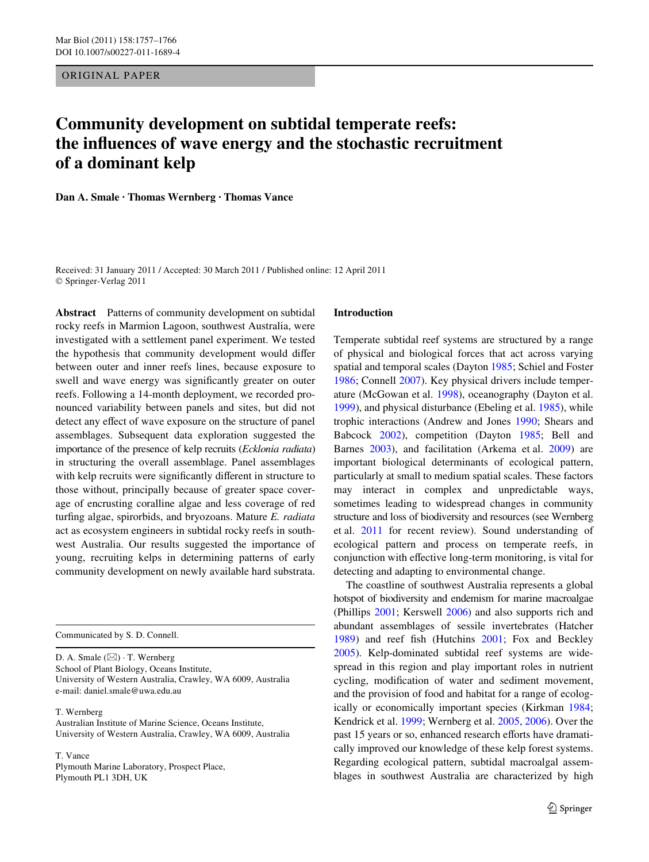ORIGINAL PAPER

# **Community development on subtidal temperate reefs: the influences of wave energy and the stochastic recruitment of a dominant kelp**

**Dan A. Smale · Thomas Wernberg · Thomas Vance** 

Received: 31 January 2011 / Accepted: 30 March 2011 / Published online: 12 April 2011 © Springer-Verlag 2011

**Abstract** Patterns of community development on subtidal rocky reefs in Marmion Lagoon, southwest Australia, were investigated with a settlement panel experiment. We tested the hypothesis that community development would differ between outer and inner reefs lines, because exposure to swell and wave energy was significantly greater on outer reefs. Following a 14-month deployment, we recorded pronounced variability between panels and sites, but did not detect any effect of wave exposure on the structure of panel assemblages. Subsequent data exploration suggested the importance of the presence of kelp recruits (*Ecklonia radiata*) in structuring the overall assemblage. Panel assemblages with kelp recruits were significantly different in structure to those without, principally because of greater space coverage of encrusting coralline algae and less coverage of red turfing algae, spirorbids, and bryozoans. Mature *E. radiata* act as ecosystem engineers in subtidal rocky reefs in southwest Australia. Our results suggested the importance of young, recruiting kelps in determining patterns of early community development on newly available hard substrata.

Communicated by S. D. Connell.

D. A. Smale  $(\boxtimes) \cdot$  T. Wernberg School of Plant Biology, Oceans Institute, University of Western Australia, Crawley, WA 6009, Australia e-mail: daniel.smale@uwa.edu.au

T. Wernberg

Australian Institute of Marine Science, Oceans Institute, University of Western Australia, Crawley, WA 6009, Australia

T. Vance Plymouth Marine Laboratory, Prospect Place, Plymouth PL1 3DH, UK

#### **Introduction**

Temperate subtidal reef systems are structured by a range of physical and biological forces that act across varying spatial and temporal scales (Dayton [1985](#page-8-0); Schiel and Foster [1986](#page-8-1); Connell [2007](#page-8-2)). Key physical drivers include temperature (McGowan et al. [1998\)](#page-8-3), oceanography (Dayton et al. [1999](#page-8-4)), and physical disturbance (Ebeling et al. [1985\)](#page-8-5), while trophic interactions (Andrew and Jones [1990;](#page-7-0) Shears and Babcock [2002](#page-8-6)), competition (Dayton [1985](#page-8-0); Bell and Barnes [2003](#page-7-1)), and facilitation (Arkema et al. [2009\)](#page-7-2) are important biological determinants of ecological pattern, particularly at small to medium spatial scales. These factors may interact in complex and unpredictable ways, sometimes leading to widespread changes in community structure and loss of biodiversity and resources (see Wernberg et al. [2011](#page-9-0) for recent review). Sound understanding of ecological pattern and process on temperate reefs, in conjunction with effective long-term monitoring, is vital for detecting and adapting to environmental change.

The coastline of southwest Australia represents a global hotspot of biodiversity and endemism for marine macroalgae (Phillips [2001](#page-8-7); Kerswell [2006](#page-8-8)) and also supports rich and abundant assemblages of sessile invertebrates (Hatcher [1989](#page-8-9)) and reef fish (Hutchins [2001;](#page-8-10) Fox and Beckley [2005](#page-8-11)). Kelp-dominated subtidal reef systems are widespread in this region and play important roles in nutrient cycling, modification of water and sediment movement, and the provision of food and habitat for a range of ecologically or economically important species (Kirkman [1984;](#page-8-12) Kendrick et al. [1999](#page-8-13); Wernberg et al. [2005,](#page-9-1) [2006\)](#page-9-2). Over the past 15 years or so, enhanced research efforts have dramatically improved our knowledge of these kelp forest systems. Regarding ecological pattern, subtidal macroalgal assemblages in southwest Australia are characterized by high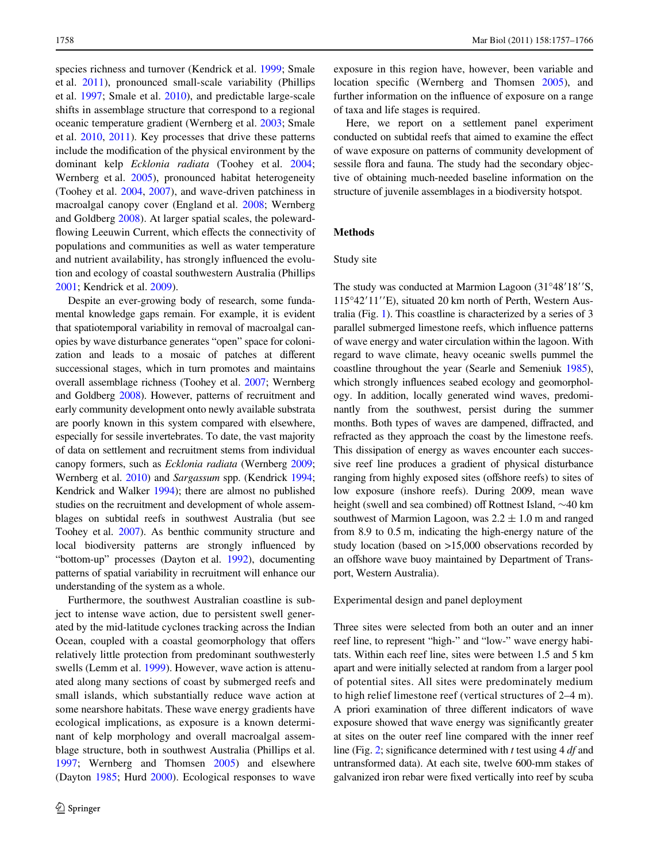species richness and turnover (Kendrick et al. [1999](#page-8-13); Smale et al. [2011\)](#page-8-14), pronounced small-scale variability (Phillips et al. [1997;](#page-8-15) Smale et al. [2010](#page-8-16)), and predictable large-scale shifts in assemblage structure that correspond to a regional oceanic temperature gradient (Wernberg et al. [2003;](#page-9-3) Smale et al. [2010,](#page-8-16) [2011\)](#page-8-14). Key processes that drive these patterns include the modification of the physical environment by the dominant kelp *Ecklonia radiata* (Toohey et al. [2004](#page-8-17); Wernberg et al. [2005](#page-9-1)), pronounced habitat heterogeneity (Toohey et al. [2004,](#page-8-17) [2007\)](#page-8-18), and wave-driven patchiness in macroalgal canopy cover (England et al. [2008](#page-8-19); Wernberg and Goldberg [2008\)](#page-8-20). At larger spatial scales, the polewardflowing Leeuwin Current, which effects the connectivity of populations and communities as well as water temperature and nutrient availability, has strongly influenced the evolution and ecology of coastal southwestern Australia (Phillips [2001](#page-8-7); Kendrick et al. [2009\)](#page-8-21).

Despite an ever-growing body of research, some fundamental knowledge gaps remain. For example, it is evident that spatiotemporal variability in removal of macroalgal canopies by wave disturbance generates "open" space for colonization and leads to a mosaic of patches at different successional stages, which in turn promotes and maintains overall assemblage richness (Toohey et al. [2007;](#page-8-18) Wernberg and Goldberg [2008\)](#page-8-20). However, patterns of recruitment and early community development onto newly available substrata are poorly known in this system compared with elsewhere, especially for sessile invertebrates. To date, the vast majority of data on settlement and recruitment stems from individual canopy formers, such as *Ecklonia radiata* (Wernberg [2009](#page-8-22); Wernberg et al. [2010\)](#page-9-4) and *Sargassum* spp. (Kendrick [1994](#page-8-23); Kendrick and Walker [1994](#page-8-24)); there are almost no published studies on the recruitment and development of whole assemblages on subtidal reefs in southwest Australia (but see Toohey et al. [2007](#page-8-18)). As benthic community structure and local biodiversity patterns are strongly influenced by "bottom-up" processes (Dayton et al. [1992\)](#page-8-25), documenting patterns of spatial variability in recruitment will enhance our understanding of the system as a whole.

Furthermore, the southwest Australian coastline is subject to intense wave action, due to persistent swell generated by the mid-latitude cyclones tracking across the Indian Ocean, coupled with a coastal geomorphology that offers relatively little protection from predominant southwesterly swells (Lemm et al. [1999](#page-8-26)). However, wave action is attenuated along many sections of coast by submerged reefs and small islands, which substantially reduce wave action at some nearshore habitats. These wave energy gradients have ecological implications, as exposure is a known determinant of kelp morphology and overall macroalgal assemblage structure, both in southwest Australia (Phillips et al. [1997](#page-8-15); Wernberg and Thomsen [2005](#page-8-27)) and elsewhere (Dayton [1985;](#page-8-0) Hurd [2000](#page-8-28)). Ecological responses to wave exposure in this region have, however, been variable and location specific (Wernberg and Thomsen  $2005$ ), and further information on the influence of exposure on a range of taxa and life stages is required.

Here, we report on a settlement panel experiment conducted on subtidal reefs that aimed to examine the effect of wave exposure on patterns of community development of sessile flora and fauna. The study had the secondary objective of obtaining much-needed baseline information on the structure of juvenile assemblages in a biodiversity hotspot.

# **Methods**

#### Study site

The study was conducted at Marmion Lagoon (31°48'18"S, 115°42'11''E), situated 20 km north of Perth, Western Australia (Fig. [1\)](#page-2-0). This coastline is characterized by a series of 3 parallel submerged limestone reefs, which influence patterns of wave energy and water circulation within the lagoon. With regard to wave climate, heavy oceanic swells pummel the coastline throughout the year (Searle and Semeniuk [1985\)](#page-8-29), which strongly influences seabed ecology and geomorphology. In addition, locally generated wind waves, predominantly from the southwest, persist during the summer months. Both types of waves are dampened, diffracted, and refracted as they approach the coast by the limestone reefs. This dissipation of energy as waves encounter each successive reef line produces a gradient of physical disturbance ranging from highly exposed sites (offshore reefs) to sites of low exposure (inshore reefs). During 2009, mean wave height (swell and sea combined) off Rottnest Island,  $\sim$ 40 km southwest of Marmion Lagoon, was  $2.2 \pm 1.0$  m and ranged from 8.9 to 0.5 m, indicating the high-energy nature of the study location (based on >15,000 observations recorded by an offshore wave buoy maintained by Department of Transport, Western Australia).

## Experimental design and panel deployment

Three sites were selected from both an outer and an inner reef line, to represent "high-" and "low-" wave energy habitats. Within each reef line, sites were between 1.5 and 5 km apart and were initially selected at random from a larger pool of potential sites. All sites were predominately medium to high relief limestone reef (vertical structures of 2–4 m). A priori examination of three different indicators of wave exposure showed that wave energy was significantly greater at sites on the outer reef line compared with the inner reef line (Fig. [2](#page-2-1); significance determined with *t* test using 4 *df* and untransformed data). At each site, twelve 600-mm stakes of galvanized iron rebar were fixed vertically into reef by scuba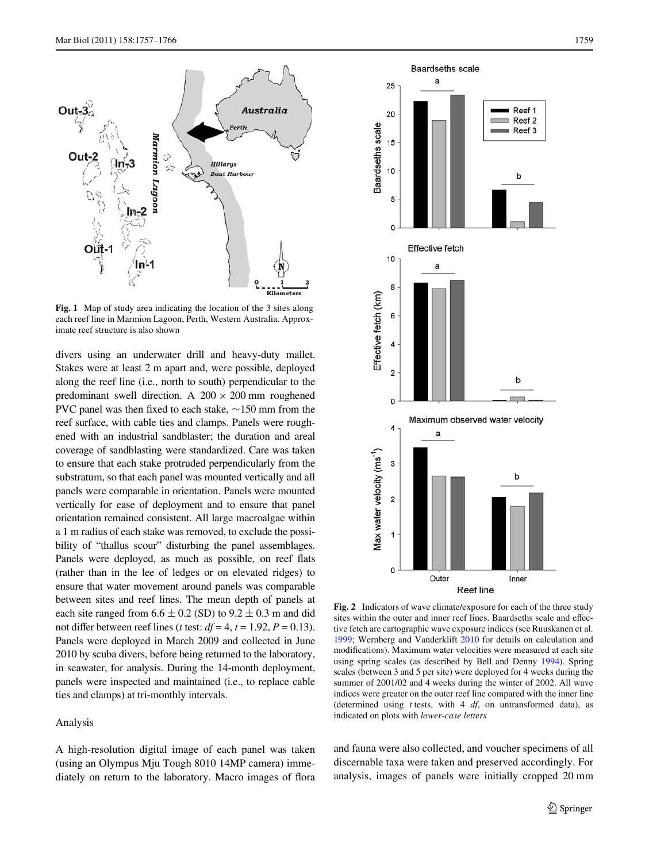

<span id="page-2-0"></span>**Fig. 1** Map of study area indicating the location of the 3 sites along each reef line in Marmion Lagoon, Perth, Western Australia. Approximate reef structure is also shown

divers using an underwater drill and heavy-duty mallet. Stakes were at least 2 m apart and, were possible, deployed along the reef line (i.e., north to south) perpendicular to the predominant swell direction. A  $200 \times 200$  mm roughened PVC panel was then fixed to each stake,  $\sim$ 150 mm from the reef surface, with cable ties and clamps. Panels were roughened with an industrial sandblaster; the duration and areal coverage of sandblasting were standardized. Care was taken to ensure that each stake protruded perpendicularly from the substratum, so that each panel was mounted vertically and all panels were comparable in orientation. Panels were mounted vertically for ease of deployment and to ensure that panel orientation remained consistent. All large macroalgae within a 1 m radius of each stake was removed, to exclude the possibility of "thallus scour" disturbing the panel assemblages. Panels were deployed, as much as possible, on reef flats (rather than in the lee of ledges or on elevated ridges) to ensure that water movement around panels was comparable between sites and reef lines. The mean depth of panels at each site ranged from  $6.6 \pm 0.2$  (SD) to  $9.2 \pm 0.3$  m and did not differ between reef lines (*t* test:  $df = 4$ ,  $t = 1.92$ ,  $P = 0.13$ ). Panels were deployed in March 2009 and collected in June 2010 by scuba divers, before being returned to the laboratory, in seawater, for analysis. During the 14-month deployment, panels were inspected and maintained (i.e., to replace cable ties and clamps) at tri-monthly intervals.

## Analysis

A high-resolution digital image of each panel was taken (using an Olympus Mju Tough 8010 14MP camera) immediately on return to the laboratory. Macro images of flora



<span id="page-2-1"></span>**Fig. 2** Indicators of wave climate/exposure for each of the three study sites within the outer and inner reef lines. Baardseths scale and effective fetch are cartographic wave exposure indices (see Ruuskanen et al. [1999](#page-8-30); Wernberg and Vanderklift [2010](#page-9-5) for details on calculation and modifications). Maximum water velocities were measured at each site using spring scales (as described by Bell and Denny [1994](#page-7-3)). Spring scales (between 3 and 5 per site) were deployed for 4 weeks during the summer of 2001/02 and 4 weeks during the winter of 2002. All wave indices were greater on the outer reef line compared with the inner line (determined using *t* tests, with 4 *df*, on untransformed data), as indicated on plots with *lower-case letters*

and fauna were also collected, and voucher specimens of all discernable taxa were taken and preserved accordingly. For analysis, images of panels were initially cropped 20 mm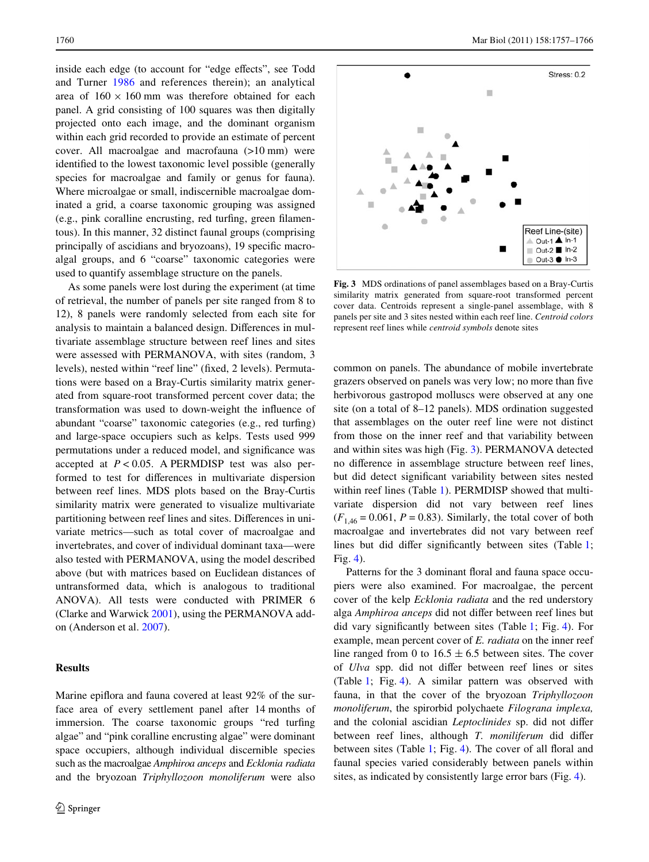inside each edge (to account for "edge effects", see Todd and Turner [1986](#page-8-31) and references therein); an analytical area of  $160 \times 160$  mm was therefore obtained for each panel. A grid consisting of 100 squares was then digitally projected onto each image, and the dominant organism within each grid recorded to provide an estimate of percent cover. All macroalgae and macrofauna (>10 mm) were identified to the lowest taxonomic level possible (generally species for macroalgae and family or genus for fauna). Where microalgae or small, indiscernible macroalgae dominated a grid, a coarse taxonomic grouping was assigned (e.g., pink coralline encrusting, red turfing, green filamentous). In this manner, 32 distinct faunal groups (comprising principally of ascidians and bryozoans), 19 specific macroalgal groups, and 6 "coarse" taxonomic categories were used to quantify assemblage structure on the panels.

As some panels were lost during the experiment (at time of retrieval, the number of panels per site ranged from 8 to 12), 8 panels were randomly selected from each site for analysis to maintain a balanced design. Differences in multivariate assemblage structure between reef lines and sites were assessed with PERMANOVA, with sites (random, 3 levels), nested within "reef line" (fixed, 2 levels). Permutations were based on a Bray-Curtis similarity matrix generated from square-root transformed percent cover data; the transformation was used to down-weight the influence of abundant "coarse" taxonomic categories (e.g., red turfing) and large-space occupiers such as kelps. Tests used 999 permutations under a reduced model, and significance was accepted at *P* < 0.05. A PERMDISP test was also performed to test for differences in multivariate dispersion between reef lines. MDS plots based on the Bray-Curtis similarity matrix were generated to visualize multivariate partitioning between reef lines and sites. Differences in univariate metrics—such as total cover of macroalgae and invertebrates, and cover of individual dominant taxa—were also tested with PERMANOVA, using the model described above (but with matrices based on Euclidean distances of untransformed data, which is analogous to traditional ANOVA). All tests were conducted with PRIMER 6 (Clarke and Warwick [2001](#page-7-4)), using the PERMANOVA addon (Anderson et al. [2007](#page-7-5)).

# **Results**

Marine epiflora and fauna covered at least 92% of the surface area of every settlement panel after 14 months of immersion. The coarse taxonomic groups "red turfing algae" and "pink coralline encrusting algae" were dominant space occupiers, although individual discernible species such as the macroalgae *Amphiroa anceps* and *Ecklonia radiata* and the bryozoan *Triphyllozoon monoliferum* were also



<span id="page-3-0"></span>**Fig. 3** MDS ordinations of panel assemblages based on a Bray-Curtis similarity matrix generated from square-root transformed percent cover data. Centroids represent a single-panel assemblage, with 8 panels per site and 3 sites nested within each reef line. *Centroid colors* represent reef lines while *centroid symbols* denote sites

common on panels. The abundance of mobile invertebrate grazers observed on panels was very low; no more than five herbivorous gastropod molluscs were observed at any one site (on a total of 8–12 panels). MDS ordination suggested that assemblages on the outer reef line were not distinct from those on the inner reef and that variability between and within sites was high (Fig. [3\)](#page-3-0). PERMANOVA detected no difference in assemblage structure between reef lines, but did detect significant variability between sites nested within reef lines (Table [1](#page-5-0)). PERMDISP showed that multivariate dispersion did not vary between reef lines  $(F<sub>1.46</sub> = 0.061, P = 0.83)$ . Similarly, the total cover of both macroalgae and invertebrates did not vary between reef lines but did differ significantly between sites (Table [1;](#page-5-0) Fig. [4\)](#page-4-0).

Patterns for the 3 dominant floral and fauna space occupiers were also examined. For macroalgae, the percent cover of the kelp *Ecklonia radiata* and the red understory alga *Amphiroa anceps* did not differ between reef lines but did vary significantly between sites (Table [1;](#page-5-0) Fig. [4\)](#page-4-0). For example, mean percent cover of *E. radiata* on the inner reef line ranged from 0 to  $16.5 \pm 6.5$  between sites. The cover of *Ulva* spp. did not differ between reef lines or sites (Table [1;](#page-5-0) Fig. [4\)](#page-4-0). A similar pattern was observed with fauna, in that the cover of the bryozoan *Triphyllozoon monoliferum*, the spirorbid polychaete *Filograna implexa,* and the colonial ascidian *Leptoclinides* sp. did not differ between reef lines, although *T. moniliferum* did differ between sites (Table [1](#page-5-0); Fig. [4\)](#page-4-0). The cover of all floral and faunal species varied considerably between panels within sites, as indicated by consistently large error bars (Fig. [4\)](#page-4-0).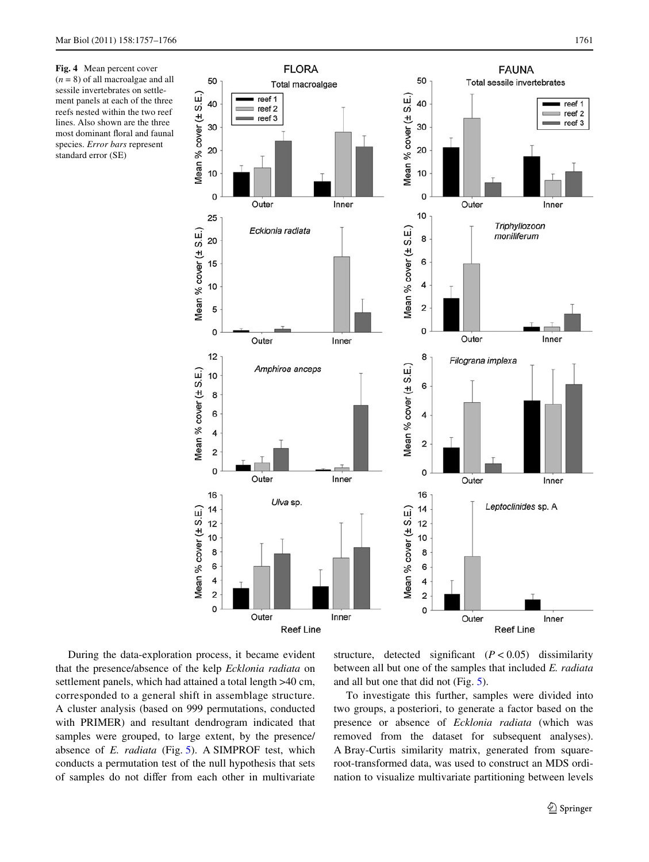<span id="page-4-0"></span>**Fig. 4** Mean percent cover  $(n = 8)$  of all macroalgae and all sessile invertebrates on settlement panels at each of the three reefs nested within the two reef lines. Also shown are the three most dominant floral and faunal species. *Error bars* represent standard error (SE)



During the data-exploration process, it became evident that the presence/absence of the kelp *Ecklonia radiata* on settlement panels, which had attained a total length >40 cm, corresponded to a general shift in assemblage structure. A cluster analysis (based on 999 permutations, conducted with PRIMER) and resultant dendrogram indicated that samples were grouped, to large extent, by the presence/ absence of *E. radiata* (Fig. [5](#page-5-1)). A SIMPROF test, which conducts a permutation test of the null hypothesis that sets of samples do not differ from each other in multivariate structure, detected significant  $(P < 0.05)$  dissimilarity between all but one of the samples that included *E. radiata* and all but one that did not (Fig. [5](#page-5-1)).

To investigate this further, samples were divided into two groups, a posteriori, to generate a factor based on the presence or absence of *Ecklonia radiata* (which was removed from the dataset for subsequent analyses). A Bray-Curtis similarity matrix, generated from squareroot-transformed data, was used to construct an MDS ordination to visualize multivariate partitioning between levels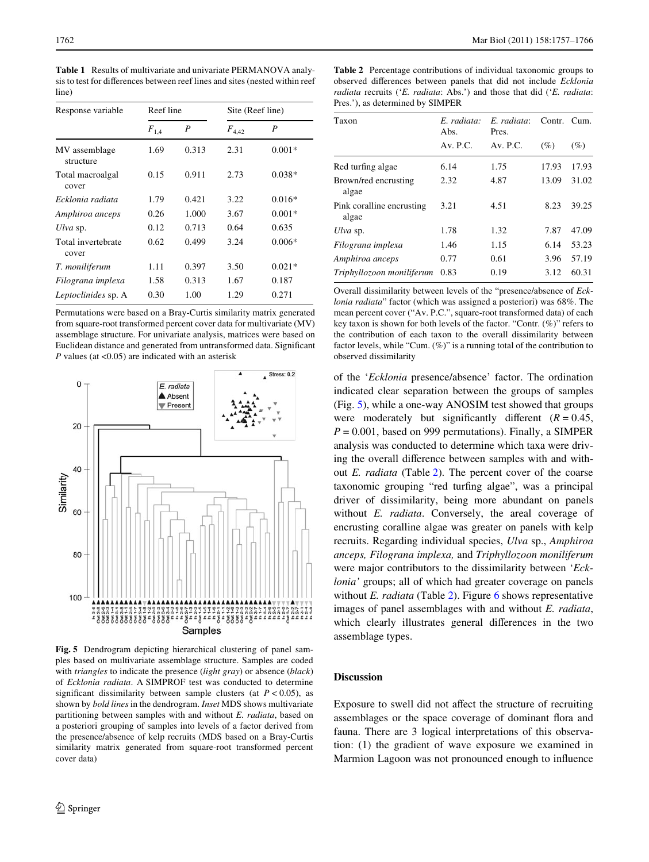<span id="page-5-0"></span>**Table 1** Results of multivariate and univariate PERMANOVA analysis to test for differences between reef lines and sites (nested within reef line)

| Response variable           | Reef line              |       | Site (Reef line) |                  |
|-----------------------------|------------------------|-------|------------------|------------------|
|                             | $\boldsymbol{F}_{1,4}$ | P     | $F_{4,42}$       | $\boldsymbol{P}$ |
| MV assemblage<br>structure  | 1.69                   | 0.313 | 2.31             | $0.001*$         |
| Total macroalgal<br>cover   | 0.15                   | 0.911 | 2.73             | $0.038*$         |
| Ecklonia radiata            | 1.79                   | 0.421 | 3.22             | $0.016*$         |
| Amphiroa anceps             | 0.26                   | 1.000 | 3.67             | $0.001*$         |
| Ulva sp.                    | 0.12                   | 0.713 | 0.64             | 0.635            |
| Total invertebrate<br>cover | 0.62                   | 0.499 | 3.24             | $0.006*$         |
| T. moniliferum              | 1.11                   | 0.397 | 3.50             | $0.021*$         |
| Filograna implexa           | 1.58                   | 0.313 | 1.67             | 0.187            |
| Leptoclinides sp. A         | 0.30                   | 1.00  | 1.29             | 0.271            |

Permutations were based on a Bray-Curtis similarity matrix generated from square-root transformed percent cover data for multivariate (MV) assemblage structure. For univariate analysis, matrices were based on Euclidean distance and generated from untransformed data. Significant *P* values (at <0.05) are indicated with an asterisk



<span id="page-5-1"></span>**Fig. 5** Dendrogram depicting hierarchical clustering of panel samples based on multivariate assemblage structure. Samples are coded with *triangles* to indicate the presence (*light gray*) or absence (*black*) of *Ecklonia radiata*. A SIMPROF test was conducted to determine significant dissimilarity between sample clusters (at  $P < 0.05$ ), as shown by *bold lines* in the dendrogram. *Inset* MDS shows multivariate partitioning between samples with and without *E. radiata*, based on a posteriori grouping of samples into levels of a factor derived from the presence/absence of kelp recruits (MDS based on a Bray-Curtis similarity matrix generated from square-root transformed percent cover data)

<span id="page-5-2"></span>**Table 2** Percentage contributions of individual taxonomic groups to observed differences between panels that did not include *Ecklonia radiata* recruits ('*E. radiata*: Abs.') and those that did ('*E. radiata*: Pres.'), as determined by SIMPER

| Taxon                              | E. radiata:<br>Abs. | E. radiata:<br>Pres. | Contr. Cum. |        |
|------------------------------------|---------------------|----------------------|-------------|--------|
|                                    | Av. P.C.            | Av. P.C.             | $(\%)$      | $(\%)$ |
| Red turfing algae                  | 6.14                | 1.75                 | 17.93       | 17.93  |
| Brown/red encrusting<br>algae      | 2.32                | 4.87                 | 13.09       | 31.02  |
| Pink coralline encrusting<br>algae | 3.21                | 4.51                 | 8.23        | 39.25  |
| Ulva sp.                           | 1.78                | 1.32                 | 7.87        | 47.09  |
| Filograna implexa                  | 1.46                | 1.15                 | 6.14        | 53.23  |
| Amphiroa anceps                    | 0.77                | 0.61                 | 3.96        | 57.19  |
| Triphyllozoon moniliferum          | 0.83                | 0.19                 | 3.12        | 60.31  |

Overall dissimilarity between levels of the "presence/absence of *Ecklonia radiata*" factor (which was assigned a posteriori) was 68%. The mean percent cover ("Av. P.C.", square-root transformed data) of each key taxon is shown for both levels of the factor. "Contr.  $(\%)$ " refers to the contribution of each taxon to the overall dissimilarity between factor levels, while "Cum.  $(\%)$ " is a running total of the contribution to observed dissimilarity

of the '*Ecklonia* presence/absence' factor. The ordination indicated clear separation between the groups of samples (Fig. [5\)](#page-5-1), while a one-way ANOSIM test showed that groups were moderately but significantly different  $(R = 0.45,$  $P = 0.001$ , based on 999 permutations). Finally, a SIMPER analysis was conducted to determine which taxa were driving the overall difference between samples with and without *E. radiata* (Table [2](#page-5-2)). The percent cover of the coarse taxonomic grouping "red turfing algae", was a principal driver of dissimilarity, being more abundant on panels without *E. radiata*. Conversely, the areal coverage of encrusting coralline algae was greater on panels with kelp recruits. Regarding individual species, *Ulva* sp., *Amphiroa anceps, Filograna implexa,* and *Triphyllozoon moniliferum* were major contributors to the dissimilarity between '*Ecklonia'* groups; all of which had greater coverage on panels without *E. radiata* (Table [2](#page-5-2)). Figure [6](#page-6-0) shows representative images of panel assemblages with and without *E. radiata*, which clearly illustrates general differences in the two assemblage types.

## **Discussion**

Exposure to swell did not affect the structure of recruiting assemblages or the space coverage of dominant flora and fauna. There are 3 logical interpretations of this observation: (1) the gradient of wave exposure we examined in Marmion Lagoon was not pronounced enough to influence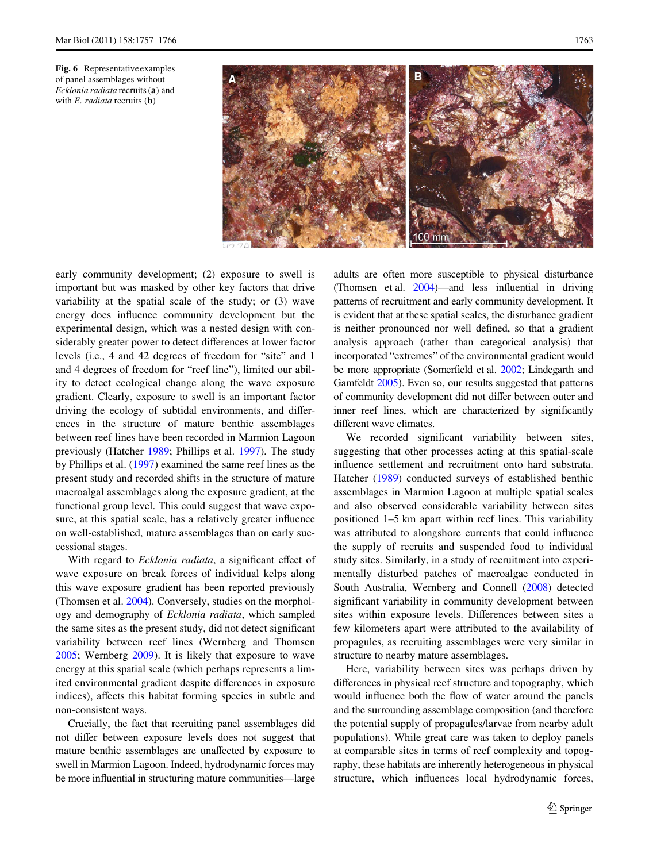<span id="page-6-0"></span>



early community development; (2) exposure to swell is important but was masked by other key factors that drive variability at the spatial scale of the study; or (3) wave energy does influence community development but the experimental design, which was a nested design with considerably greater power to detect differences at lower factor levels (i.e., 4 and 42 degrees of freedom for "site" and 1 and 4 degrees of freedom for "reef line"), limited our ability to detect ecological change along the wave exposure gradient. Clearly, exposure to swell is an important factor driving the ecology of subtidal environments, and differences in the structure of mature benthic assemblages between reef lines have been recorded in Marmion Lagoon previously (Hatcher [1989](#page-8-9); Phillips et al. [1997\)](#page-8-15). The study by Phillips et al. ([1997\)](#page-8-15) examined the same reef lines as the present study and recorded shifts in the structure of mature macroalgal assemblages along the exposure gradient, at the functional group level. This could suggest that wave exposure, at this spatial scale, has a relatively greater influence on well-established, mature assemblages than on early successional stages.

With regard to *Ecklonia radiata*, a significant effect of wave exposure on break forces of individual kelps along this wave exposure gradient has been reported previously (Thomsen et al. [2004\)](#page-8-32). Conversely, studies on the morphology and demography of *Ecklonia radiata*, which sampled the same sites as the present study, did not detect significant variability between reef lines (Wernberg and Thomsen [2005](#page-8-27); Wernberg [2009](#page-8-22)). It is likely that exposure to wave energy at this spatial scale (which perhaps represents a limited environmental gradient despite differences in exposure indices), affects this habitat forming species in subtle and non-consistent ways.

Crucially, the fact that recruiting panel assemblages did not differ between exposure levels does not suggest that mature benthic assemblages are unaffected by exposure to swell in Marmion Lagoon. Indeed, hydrodynamic forces may be more influential in structuring mature communities—large adults are often more susceptible to physical disturbance (Thomsen et al.  $2004$ )—and less influential in driving patterns of recruitment and early community development. It is evident that at these spatial scales, the disturbance gradient is neither pronounced nor well defined, so that a gradient analysis approach (rather than categorical analysis) that incorporated "extremes" of the environmental gradient would be more appropriate (Somerfield et al. [2002](#page-8-33); Lindegarth and Gamfeldt [2005](#page-8-34)). Even so, our results suggested that patterns of community development did not differ between outer and inner reef lines, which are characterized by significantly different wave climates.

We recorded significant variability between sites, suggesting that other processes acting at this spatial-scale influence settlement and recruitment onto hard substrata. Hatcher [\(1989](#page-8-9)) conducted surveys of established benthic assemblages in Marmion Lagoon at multiple spatial scales and also observed considerable variability between sites positioned 1–5 km apart within reef lines. This variability was attributed to alongshore currents that could influence the supply of recruits and suspended food to individual study sites. Similarly, in a study of recruitment into experimentally disturbed patches of macroalgae conducted in South Australia, Wernberg and Connell ([2008\)](#page-8-35) detected significant variability in community development between sites within exposure levels. Differences between sites a few kilometers apart were attributed to the availability of propagules, as recruiting assemblages were very similar in structure to nearby mature assemblages.

Here, variability between sites was perhaps driven by differences in physical reef structure and topography, which would influence both the flow of water around the panels and the surrounding assemblage composition (and therefore the potential supply of propagules/larvae from nearby adult populations). While great care was taken to deploy panels at comparable sites in terms of reef complexity and topography, these habitats are inherently heterogeneous in physical structure, which influences local hydrodynamic forces,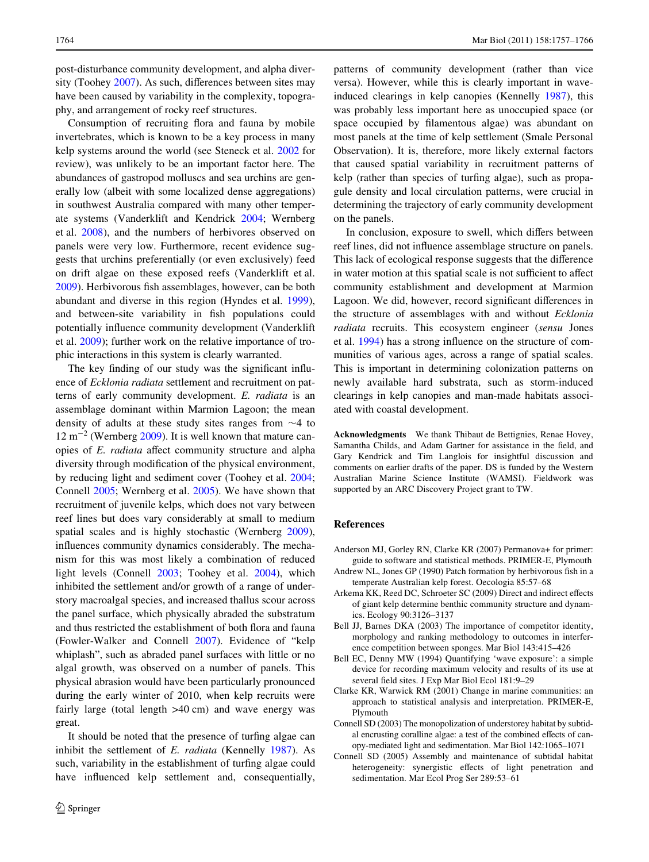post-disturbance community development, and alpha diversity (Toohey  $2007$ ). As such, differences between sites may have been caused by variability in the complexity, topography, and arrangement of rocky reef structures.

Consumption of recruiting flora and fauna by mobile invertebrates, which is known to be a key process in many kelp systems around the world (see Steneck et al. [2002](#page-8-37) for review), was unlikely to be an important factor here. The abundances of gastropod molluscs and sea urchins are generally low (albeit with some localized dense aggregations) in southwest Australia compared with many other temperate systems (Vanderklift and Kendrick [2004](#page-8-38); Wernberg et al. [2008\)](#page-9-6), and the numbers of herbivores observed on panels were very low. Furthermore, recent evidence suggests that urchins preferentially (or even exclusively) feed on drift algae on these exposed reefs (Vanderklift et al. [2009](#page-8-39)). Herbivorous fish assemblages, however, can be both abundant and diverse in this region (Hyndes et al. [1999](#page-8-40)), and between-site variability in fish populations could potentially influence community development (Vanderklift) et al. [2009](#page-8-39)); further work on the relative importance of trophic interactions in this system is clearly warranted.

The key finding of our study was the significant influence of *Ecklonia radiata* settlement and recruitment on patterns of early community development. *E. radiata* is an assemblage dominant within Marmion Lagoon; the mean density of adults at these study sites ranges from  $\sim$ 4 to  $12 \text{ m}^{-2}$  (Wernberg [2009\)](#page-8-22). It is well known that mature canopies of *E. radiata* affect community structure and alpha diversity through modification of the physical environment, by reducing light and sediment cover (Toohey et al. [2004](#page-8-17); Connell [2005;](#page-7-6) Wernberg et al. [2005](#page-9-1)). We have shown that recruitment of juvenile kelps, which does not vary between reef lines but does vary considerably at small to medium spatial scales and is highly stochastic (Wernberg [2009](#page-8-22)), influences community dynamics considerably. The mechanism for this was most likely a combination of reduced light levels (Connell [2003](#page-7-7); Toohey et al. [2004](#page-8-17)), which inhibited the settlement and/or growth of a range of understory macroalgal species, and increased thallus scour across the panel surface, which physically abraded the substratum and thus restricted the establishment of both flora and fauna (Fowler-Walker and Connell [2007\)](#page-8-41). Evidence of "kelp whiplash", such as abraded panel surfaces with little or no algal growth, was observed on a number of panels. This physical abrasion would have been particularly pronounced during the early winter of 2010, when kelp recruits were fairly large (total length  $>40$  cm) and wave energy was great.

It should be noted that the presence of turfing algae can inhibit the settlement of *E. radiata* (Kennelly [1987\)](#page-8-42). As such, variability in the establishment of turfing algae could have influenced kelp settlement and, consequentially, patterns of community development (rather than vice versa). However, while this is clearly important in waveinduced clearings in kelp canopies (Kennelly [1987\)](#page-8-42), this was probably less important here as unoccupied space (or space occupied by filamentous algae) was abundant on most panels at the time of kelp settlement (Smale Personal Observation). It is, therefore, more likely external factors that caused spatial variability in recruitment patterns of kelp (rather than species of turfing algae), such as propagule density and local circulation patterns, were crucial in determining the trajectory of early community development on the panels.

In conclusion, exposure to swell, which differs between reef lines, did not influence assemblage structure on panels. This lack of ecological response suggests that the difference in water motion at this spatial scale is not sufficient to affect community establishment and development at Marmion Lagoon. We did, however, record significant differences in the structure of assemblages with and without *Ecklonia radiata* recruits. This ecosystem engineer (*sensu* Jones et al.  $1994$ ) has a strong influence on the structure of communities of various ages, across a range of spatial scales. This is important in determining colonization patterns on newly available hard substrata, such as storm-induced clearings in kelp canopies and man-made habitats associated with coastal development.

**Acknowledgments** We thank Thibaut de Bettignies, Renae Hovey, Samantha Childs, and Adam Gartner for assistance in the field, and Gary Kendrick and Tim Langlois for insightful discussion and comments on earlier drafts of the paper. DS is funded by the Western Australian Marine Science Institute (WAMSI). Fieldwork was supported by an ARC Discovery Project grant to TW.

#### **References**

- <span id="page-7-5"></span>Anderson MJ, Gorley RN, Clarke KR (2007) Permanova+ for primer: guide to software and statistical methods. PRIMER-E, Plymouth
- <span id="page-7-0"></span>Andrew NL, Jones GP (1990) Patch formation by herbivorous fish in a temperate Australian kelp forest. Oecologia 85:57–68
- <span id="page-7-2"></span>Arkema KK, Reed DC, Schroeter SC (2009) Direct and indirect effects of giant kelp determine benthic community structure and dynamics. Ecology 90:3126–3137
- <span id="page-7-1"></span>Bell JJ, Barnes DKA (2003) The importance of competitor identity, morphology and ranking methodology to outcomes in interference competition between sponges. Mar Biol 143:415–426
- <span id="page-7-3"></span>Bell EC, Denny MW (1994) Quantifying 'wave exposure': a simple device for recording maximum velocity and results of its use at several field sites. J Exp Mar Biol Ecol 181:9-29
- <span id="page-7-4"></span>Clarke KR, Warwick RM (2001) Change in marine communities: an approach to statistical analysis and interpretation. PRIMER-E, Plymouth
- <span id="page-7-7"></span>Connell SD (2003) The monopolization of understorey habitat by subtidal encrusting coralline algae: a test of the combined effects of canopy-mediated light and sedimentation. Mar Biol 142:1065–1071
- <span id="page-7-6"></span>Connell SD (2005) Assembly and maintenance of subtidal habitat heterogeneity: synergistic effects of light penetration and sedimentation. Mar Ecol Prog Ser 289:53–61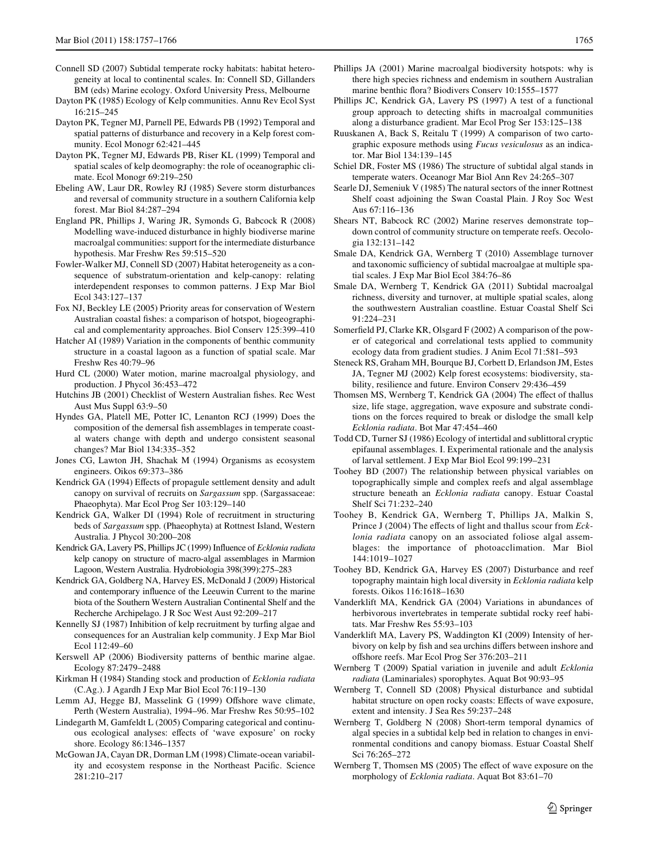- <span id="page-8-2"></span>Connell SD (2007) Subtidal temperate rocky habitats: habitat heterogeneity at local to continental scales. In: Connell SD, Gillanders BM (eds) Marine ecology. Oxford University Press, Melbourne
- <span id="page-8-0"></span>Dayton PK (1985) Ecology of Kelp communities. Annu Rev Ecol Syst 16:215–245
- <span id="page-8-25"></span>Dayton PK, Tegner MJ, Parnell PE, Edwards PB (1992) Temporal and spatial patterns of disturbance and recovery in a Kelp forest community. Ecol Monogr 62:421–445
- <span id="page-8-4"></span>Dayton PK, Tegner MJ, Edwards PB, Riser KL (1999) Temporal and spatial scales of kelp deomography: the role of oceanographic climate. Ecol Monogr 69:219–250
- <span id="page-8-5"></span>Ebeling AW, Laur DR, Rowley RJ (1985) Severe storm disturbances and reversal of community structure in a southern California kelp forest. Mar Biol 84:287–294
- <span id="page-8-19"></span>England PR, Phillips J, Waring JR, Symonds G, Babcock R (2008) Modelling wave-induced disturbance in highly biodiverse marine macroalgal communities: support for the intermediate disturbance hypothesis. Mar Freshw Res 59:515–520
- <span id="page-8-41"></span>Fowler-Walker MJ, Connell SD (2007) Habitat heterogeneity as a consequence of substratum-orientation and kelp-canopy: relating interdependent responses to common patterns. J Exp Mar Biol Ecol 343:127–137
- <span id="page-8-11"></span>Fox NJ, Beckley LE (2005) Priority areas for conservation of Western Australian coastal fishes: a comparison of hotspot, biogeographical and complementarity approaches. Biol Conserv 125:399–410
- <span id="page-8-9"></span>Hatcher AI (1989) Variation in the components of benthic community structure in a coastal lagoon as a function of spatial scale. Mar Freshw Res 40:79–96
- <span id="page-8-28"></span>Hurd CL (2000) Water motion, marine macroalgal physiology, and production. J Phycol 36:453–472
- <span id="page-8-10"></span>Hutchins JB (2001) Checklist of Western Australian fishes. Rec West Aust Mus Suppl 63:9–50
- <span id="page-8-40"></span>Hyndes GA, Platell ME, Potter IC, Lenanton RCJ (1999) Does the composition of the demersal fish assemblages in temperate coastal waters change with depth and undergo consistent seasonal changes? Mar Biol 134:335–352
- <span id="page-8-43"></span>Jones CG, Lawton JH, Shachak M (1994) Organisms as ecosystem engineers. Oikos 69:373–386
- <span id="page-8-23"></span>Kendrick GA (1994) Effects of propagule settlement density and adult canopy on survival of recruits on *Sargassum* spp. (Sargassaceae: Phaeophyta). Mar Ecol Prog Ser 103:129–140
- <span id="page-8-24"></span>Kendrick GA, Walker DI (1994) Role of recruitment in structuring beds of *Sargassum* spp. (Phaeophyta) at Rottnest Island, Western Australia. J Phycol 30:200–208
- <span id="page-8-13"></span>Kendrick GA, Lavery PS, Phillips JC (1999) Influence of *Ecklonia radiata* kelp canopy on structure of macro-algal assemblages in Marmion Lagoon, Western Australia. Hydrobiologia 398(399):275–283
- <span id="page-8-21"></span>Kendrick GA, Goldberg NA, Harvey ES, McDonald J (2009) Historical and contemporary influence of the Leeuwin Current to the marine biota of the Southern Western Australian Continental Shelf and the Recherche Archipelago. J R Soc West Aust 92:209–217
- <span id="page-8-42"></span>Kennelly SJ (1987) Inhibition of kelp recruitment by turfing algae and consequences for an Australian kelp community. J Exp Mar Biol Ecol 112:49–60
- <span id="page-8-8"></span>Kerswell AP (2006) Biodiversity patterns of benthic marine algae. Ecology 87:2479–2488
- <span id="page-8-12"></span>Kirkman H (1984) Standing stock and production of *Ecklonia radiata* (C.Ag.). J Agardh J Exp Mar Biol Ecol 76:119–130
- <span id="page-8-26"></span>Lemm AJ, Hegge BJ, Masselink G (1999) Offshore wave climate, Perth (Western Australia), 1994–96. Mar Freshw Res 50:95–102
- <span id="page-8-34"></span>Lindegarth M, Gamfeldt L (2005) Comparing categorical and continuous ecological analyses: effects of 'wave exposure' on rocky shore. Ecology 86:1346–1357
- <span id="page-8-3"></span>McGowan JA, Cayan DR, Dorman LM (1998) Climate-ocean variability and ecosystem response in the Northeast Pacific. Science 281:210–217
- <span id="page-8-7"></span>Phillips JA (2001) Marine macroalgal biodiversity hotspots: why is there high species richness and endemism in southern Australian marine benthic flora? Biodivers Conserv 10:1555-1577
- <span id="page-8-15"></span>Phillips JC, Kendrick GA, Lavery PS (1997) A test of a functional group approach to detecting shifts in macroalgal communities along a disturbance gradient. Mar Ecol Prog Ser 153:125–138
- <span id="page-8-30"></span>Ruuskanen A, Back S, Reitalu T (1999) A comparison of two cartographic exposure methods using *Fucus vesiculosus* as an indicator. Mar Biol 134:139–145
- <span id="page-8-1"></span>Schiel DR, Foster MS (1986) The structure of subtidal algal stands in temperate waters. Oceanogr Mar Biol Ann Rev 24:265–307
- <span id="page-8-29"></span>Searle DJ, Semeniuk V (1985) The natural sectors of the inner Rottnest Shelf coast adjoining the Swan Coastal Plain. J Roy Soc West Aus 67:116–136
- <span id="page-8-6"></span>Shears NT, Babcock RC (2002) Marine reserves demonstrate top– down control of community structure on temperate reefs. Oecologia 132:131–142
- <span id="page-8-16"></span>Smale DA, Kendrick GA, Wernberg T (2010) Assemblage turnover and taxonomic sufficiency of subtidal macroalgae at multiple spatial scales. J Exp Mar Biol Ecol 384:76–86
- <span id="page-8-14"></span>Smale DA, Wernberg T, Kendrick GA (2011) Subtidal macroalgal richness, diversity and turnover, at multiple spatial scales, along the southwestern Australian coastline. Estuar Coastal Shelf Sci 91:224–231
- <span id="page-8-33"></span>Somerfield PJ, Clarke KR, Olsgard F (2002) A comparison of the power of categorical and correlational tests applied to community ecology data from gradient studies. J Anim Ecol 71:581–593
- <span id="page-8-37"></span>Steneck RS, Graham MH, Bourque BJ, Corbett D, Erlandson JM, Estes JA, Tegner MJ (2002) Kelp forest ecosystems: biodiversity, stability, resilience and future. Environ Conserv 29:436–459
- <span id="page-8-32"></span>Thomsen MS, Wernberg T, Kendrick GA (2004) The effect of thallus size, life stage, aggregation, wave exposure and substrate conditions on the forces required to break or dislodge the small kelp *Ecklonia radiata*. Bot Mar 47:454–460
- <span id="page-8-31"></span>Todd CD, Turner SJ (1986) Ecology of intertidal and sublittoral cryptic epifaunal assemblages. I. Experimental rationale and the analysis of larval settlement. J Exp Mar Biol Ecol 99:199–231
- <span id="page-8-36"></span>Toohey BD (2007) The relationship between physical variables on topographically simple and complex reefs and algal assemblage structure beneath an *Ecklonia radiata* canopy. Estuar Coastal Shelf Sci 71:232–240
- <span id="page-8-17"></span>Toohey B, Kendrick GA, Wernberg T, Phillips JA, Malkin S, Prince J (2004) The effects of light and thallus scour from *Ecklonia radiata* canopy on an associated foliose algal assemblages: the importance of photoacclimation. Mar Biol 144:1019–1027
- <span id="page-8-18"></span>Toohey BD, Kendrick GA, Harvey ES (2007) Disturbance and reef topography maintain high local diversity in *Ecklonia radiata* kelp forests. Oikos 116:1618–1630
- <span id="page-8-38"></span>Vanderklift MA, Kendrick GA (2004) Variations in abundances of herbivorous invertebrates in temperate subtidal rocky reef habitats. Mar Freshw Res 55:93–103
- <span id="page-8-39"></span>Vanderklift MA, Lavery PS, Waddington KI (2009) Intensity of herbivory on kelp by fish and sea urchins differs between inshore and offshore reefs. Mar Ecol Prog Ser 376:203-211
- <span id="page-8-22"></span>Wernberg T (2009) Spatial variation in juvenile and adult *Ecklonia radiata* (Laminariales) sporophytes. Aquat Bot 90:93–95
- <span id="page-8-35"></span>Wernberg T, Connell SD (2008) Physical disturbance and subtidal habitat structure on open rocky coasts: Effects of wave exposure, extent and intensity. J Sea Res 59:237–248
- <span id="page-8-20"></span>Wernberg T, Goldberg N (2008) Short-term temporal dynamics of algal species in a subtidal kelp bed in relation to changes in environmental conditions and canopy biomass. Estuar Coastal Shelf Sci 76:265–272
- <span id="page-8-27"></span>Wernberg T, Thomsen MS (2005) The effect of wave exposure on the morphology of *Ecklonia radiata*. Aquat Bot 83:61–70